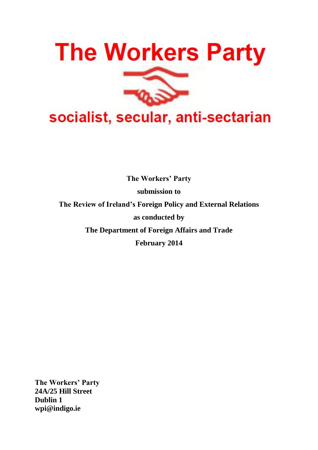

**The Workers' Party submission to The Review of Ireland's Foreign Policy and External Relations as conducted by The Department of Foreign Affairs and Trade February 2014**

**The Workers' Party 24A/25 Hill Street Dublin 1 [wpi@indigo.ie](mailto:wpi@indigo.ie)**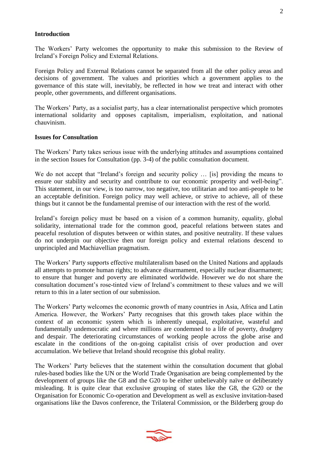### **Introduction**

The Workers' Party welcomes the opportunity to make this submission to the Review of Ireland's Foreign Policy and External Relations.

Foreign Policy and External Relations cannot be separated from all the other policy areas and decisions of government. The values and priorities which a government applies to the governance of this state will, inevitably, be reflected in how we treat and interact with other people, other governments, and different organisations.

The Workers' Party, as a socialist party, has a clear internationalist perspective which promotes international solidarity and opposes capitalism, imperialism, exploitation, and national chauvinism.

#### **Issues for Consultation**

The Workers' Party takes serious issue with the underlying attitudes and assumptions contained in the section Issues for Consultation (pp. 3-4) of the public consultation document.

We do not accept that "Ireland's foreign and security policy … [is] providing the means to ensure our stability and security and contribute to our economic prosperity and well-being". This statement, in our view, is too narrow, too negative, too utilitarian and too anti-people to be an acceptable definition. Foreign policy may well achieve, or strive to achieve, all of these things but it cannot be the fundamental premise of our interaction with the rest of the world.

Ireland's foreign policy must be based on a vision of a common humanity, equality, global solidarity, international trade for the common good, peaceful relations between states and peaceful resolution of disputes between or within states, and positive neutrality. If these values do not underpin our objective then our foreign policy and external relations descend to unprincipled and Machiavellian pragmatism.

The Workers' Party supports effective multilateralism based on the United Nations and applauds all attempts to promote human rights; to advance disarmament, especially nuclear disarmament; to ensure that hunger and poverty are eliminated worldwide. However we do not share the consultation document's rose-tinted view of Ireland's commitment to these values and we will return to this in a later section of our submission.

The Workers' Party welcomes the economic growth of many countries in Asia, Africa and Latin America. However, the Workers' Party recognises that this growth takes place within the context of an economic system which is inherently unequal, exploitative, wasteful and fundamentally undemocratic and where millions are condemned to a life of poverty, drudgery and despair. The deteriorating circumstances of working people across the globe arise and escalate in the conditions of the on-going capitalist crisis of over production and over accumulation. We believe that Ireland should recognise this global reality.

The Workers' Party believes that the statement within the consultation document that global rules-based bodies like the UN or the World Trade Organisation are being complemented by the development of groups like the G8 and the G20 to be either unbelievably naïve or deliberately misleading. It is quite clear that exclusive grouping of states like the G8, the G20 or the Organisation for Economic Co-operation and Development as well as exclusive invitation-based organisations like the Davos conference, the Trilateral Commission, or the Bilderberg group do

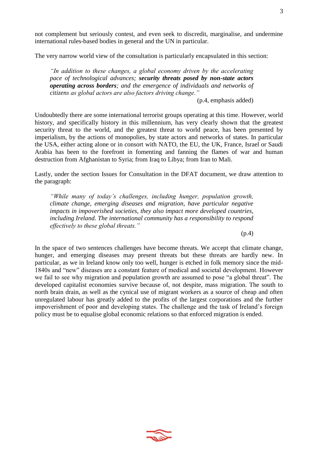not complement but seriously contest, and even seek to discredit, marginalise, and undermine international rules-based bodies in general and the UN in particular.

The very narrow world view of the consultation is particularly encapsulated in this section:

*"In addition to these changes, a global economy driven by the accelerating pace of technological advances; security threats posed by non-state actors operating across borders; and the emergence of individuals and networks of citizens as global actors are also factors driving change."*

(p.4, emphasis added)

Undoubtedly there are some international terrorist groups operating at this time. However, world history, and specifically history in this millennium, has very clearly shown that the greatest security threat to the world, and the greatest threat to world peace, has been presented by imperialism, by the actions of monopolies, by state actors and networks of states. In particular the USA, either acting alone or in consort with NATO, the EU, the UK, France, Israel or Saudi Arabia has been to the forefront in fomenting and fanning the flames of war and human destruction from Afghanistan to Syria; from Iraq to Libya; from Iran to Mali.

Lastly, under the section Issues for Consultation in the DFAT document, we draw attention to the paragraph:

*"While many of today's challenges, including hunger, population growth, climate change, emerging diseases and migration, have particular negative impacts in impoverished societies, they also impact more developed countries, including Ireland. The international community has a responsibility to respond effectively to these global threats."*

(p.4)

In the space of two sentences challenges have become threats. We accept that climate change, hunger, and emerging diseases may present threats but these threats are hardly new. In particular, as we in Ireland know only too well, hunger is etched in folk memory since the mid-1840s and "new" diseases are a constant feature of medical and societal development. However we fail to see why migration and population growth are assumed to pose "a global threat". The developed capitalist economies survive because of, not despite, mass migration. The south to north brain drain, as well as the cynical use of migrant workers as a source of cheap and often unregulated labour has greatly added to the profits of the largest corporations and the further impoverishment of poor and developing states. The challenge and the task of Ireland's foreign policy must be to equalise global economic relations so that enforced migration is ended.

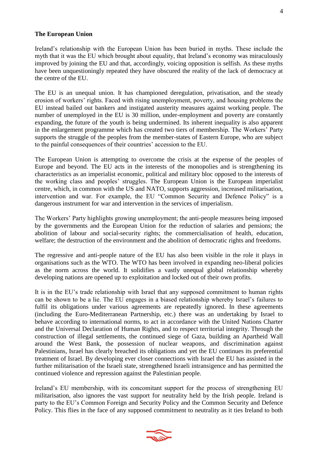### **The European Union**

Ireland's relationship with the European Union has been buried in myths. These include the myth that it was the EU which brought about equality, that Ireland's economy was miraculously improved by joining the EU and that, accordingly, voicing opposition is selfish. As these myths have been unquestioningly repeated they have obscured the reality of the lack of democracy at the centre of the EU.

The EU is an unequal union. It has championed deregulation, privatisation, and the steady erosion of workers' rights. Faced with rising unemployment, poverty, and housing problems the EU instead bailed out bankers and instigated austerity measures against working people. The number of unemployed in the EU is 30 million, under-employment and poverty are constantly expanding, the future of the youth is being undermined. Its inherent inequality is also apparent in the enlargement programme which has created two tiers of membership. The Workers' Party supports the struggle of the peoples from the member-states of Eastern Europe, who are subject to the painful consequences of their countries' accession to the EU.

The European Union is attempting to overcome the crisis at the expense of the peoples of Europe and beyond. The EU acts in the interests of the monopolies and is strengthening its characteristics as an imperialist economic, political and military bloc opposed to the interests of the working class and peoples' struggles. The European Union is the European imperialist centre, which, in common with the US and NATO, supports aggression, increased militarisation, intervention and war. For example, the EU "Common Security and Defence Policy" is a dangerous instrument for war and intervention in the services of imperialism.

The Workers' Party highlights growing unemployment; the anti-people measures being imposed by the governments and the European Union for the reduction of salaries and pensions; the abolition of labour and social-security rights; the commercialisation of health, education, welfare; the destruction of the environment and the abolition of democratic rights and freedoms.

The regressive and anti-people nature of the EU has also been visible in the role it plays in organisations such as the WTO. The WTO has been involved in expanding neo-liberal policies as the norm across the world. It solidifies a vastly unequal global relationship whereby developing nations are opened up to exploitation and locked out of their own profits.

It is in the EU's trade relationship with Israel that any supposed commitment to human rights can be shown to be a lie. The EU engages in a biased relationship whereby Israel's failures to fulfil its obligations under various agreements are repeatedly ignored. In these agreements (including the Euro-Mediterranean Partnership, etc.) there was an undertaking by Israel to behave according to international norms, to act in accordance with the United Nations Charter and the Universal Declaration of Human Rights, and to respect territorial integrity. Through the construction of illegal settlements, the continued siege of Gaza, building an Apartheid Wall around the West Bank, the possession of nuclear weapons, and discrimination against Palestinians, Israel has clearly breached its obligations and yet the EU continues its preferential treatment of Israel. By developing ever closer connections with Israel the EU has assisted in the further militarisation of the Israeli state, strengthened Israeli intransigence and has permitted the continued violence and repression against the Palestinian people.

Ireland's EU membership, with its concomitant support for the process of strengthening EU militarisation, also ignores the vast support for neutrality held by the Irish people. Ireland is party to the EU's Common Foreign and Security Policy and the Common Security and Defence Policy. This flies in the face of any supposed commitment to neutrality as it ties Ireland to both

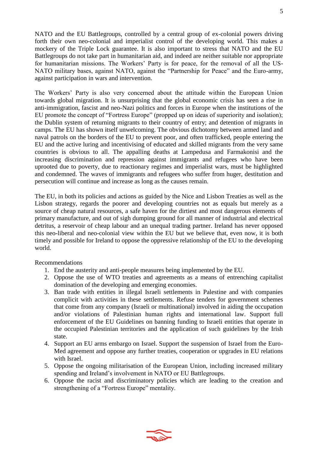NATO and the EU Battlegroups, controlled by a central group of ex-colonial powers driving forth their own neo-colonial and imperialist control of the developing world. This makes a mockery of the Triple Lock guarantee. It is also important to stress that NATO and the EU Battlegroups do not take part in humanitarian aid, and indeed are neither suitable nor appropriate for humanitarian missions. The Workers' Party is for peace, for the removal of all the US-NATO military bases, against NATO, against the "Partnership for Peace" and the Euro-army, against participation in wars and intervention.

The Workers' Party is also very concerned about the attitude within the European Union towards global migration. It is unsurprising that the global economic crisis has seen a rise in anti-immigration, fascist and neo-Nazi politics and forces in Europe when the institutions of the EU promote the concept of "Fortress Europe" (propped up on ideas of superiority and isolation); the Dublin system of returning migrants to their country of entry; and detention of migrants in camps. The EU has shown itself unwelcoming. The obvious dichotomy between armed land and naval patrols on the borders of the EU to prevent poor, and often trafficked, people entering the EU and the active luring and incentivising of educated and skilled migrants from the very same countries is obvious to all. The appalling deaths at Lampedusa and Farmakonisi and the increasing discrimination and repression against immigrants and refugees who have been uprooted due to poverty, due to reactionary regimes and imperialist wars, must be highlighted and condemned. The waves of immigrants and refugees who suffer from huger, destitution and persecution will continue and increase as long as the causes remain.

The EU, in both its policies and actions as guided by the Nice and Lisbon Treaties as well as the Lisbon strategy, regards the poorer and developing countries not as equals but merely as a source of cheap natural resources, a safe haven for the dirtiest and most dangerous elements of primary manufacture, and out of sigh dumping ground for all manner of industrial and electrical detritus, a reservoir of cheap labour and an unequal trading partner. Ireland has never opposed this neo-liberal and neo-colonial view within the EU but we believe that, even now, it is both timely and possible for Ireland to oppose the oppressive relationship of the EU to the developing world.

- 1. End the austerity and anti-people measures being implemented by the EU.
- 2. Oppose the use of WTO treaties and agreements as a means of entrenching capitalist domination of the developing and emerging economies.
- 3. Ban trade with entities in illegal Israeli settlements in Palestine and with companies complicit with activities in these settlements. Refuse tenders for government schemes that come from any company (Israeli or multinational) involved in aiding the occupation and/or violations of Palestinian human rights and international law. Support full enforcement of the EU Guidelines on banning funding to Israeli entities that operate in the occupied Palestinian territories and the application of such guidelines by the Irish state.
- 4. Support an EU arms embargo on Israel. Support the suspension of Israel from the Euro-Med agreement and oppose any further treaties, cooperation or upgrades in EU relations with Israel.
- 5. Oppose the ongoing militarisation of the European Union, including increased military spending and Ireland's involvement in NATO or EU Battlegroups.
- 6. Oppose the racist and discriminatory policies which are leading to the creation and strengthening of a "Fortress Europe" mentality.

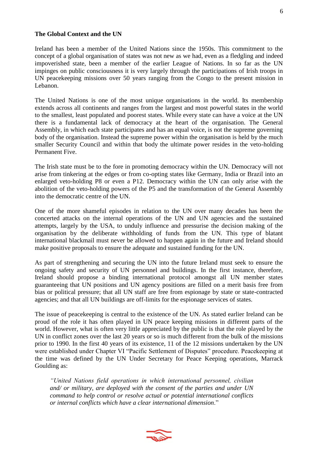### **The Global Context and the UN**

Ireland has been a member of the United Nations since the 1950s. This commitment to the concept of a global organisation of states was not new as we had, even as a fledgling and indeed impoverished state, been a member of the earlier League of Nations. In so far as the UN impinges on public consciousness it is very largely through the participations of Irish troops in UN peacekeeping missions over 50 years ranging from the Congo to the present mission in Lebanon.

The United Nations is one of the most unique organisations in the world. Its membership extends across all continents and ranges from the largest and most powerful states in the world to the smallest, least populated and poorest states. While every state can have a voice at the UN there is a fundamental lack of democracy at the heart of the organisation. The General Assembly, in which each state participates and has an equal voice, is not the supreme governing body of the organisation. Instead the supreme power within the organisation is held by the much smaller Security Council and within that body the ultimate power resides in the veto-holding Permanent Five.

The Irish state must be to the fore in promoting democracy within the UN. Democracy will not arise from tinkering at the edges or from co-opting states like Germany, India or Brazil into an enlarged veto-holding P8 or even a P12. Democracy within the UN can only arise with the abolition of the veto-holding powers of the P5 and the transformation of the General Assembly into the democratic centre of the UN.

One of the more shameful episodes in relation to the UN over many decades has been the concerted attacks on the internal operations of the UN and UN agencies and the sustained attempts, largely by the USA, to unduly influence and pressurise the decision making of the organisation by the deliberate withholding of funds from the UN. This type of blatant international blackmail must never be allowed to happen again in the future and Ireland should make positive proposals to ensure the adequate and sustained funding for the UN.

As part of strengthening and securing the UN into the future Ireland must seek to ensure the ongoing safety and security of UN personnel and buildings. In the first instance, therefore, Ireland should propose a binding international protocol amongst all UN member states guaranteeing that UN positions and UN agency positions are filled on a merit basis free from bias or political pressure; that all UN staff are free from espionage by state or state-contracted agencies; and that all UN buildings are off-limits for the espionage services of states.

The issue of peacekeeping is central to the existence of the UN. As stated earlier Ireland can be proud of the role it has often played in UN peace keeping missions in different parts of the world. However, what is often very little appreciated by the public is that the role played by the UN in conflict zones over the last 20 years or so is much different from the bulk of the missions prior to 1990. In the first 40 years of its existence, 11 of the 12 missions undertaken by the UN were established under Chapter VI "Pacific Settlement of Disputes" procedure. Peacekeeping at the time was defined by the UN Under Secretary for Peace Keeping operations, Marrack Goulding as:

*"United Nations field operations in which international personnel, civilian and/ or military, are deployed with the consent of the parties and under UN command to help control or resolve actual or potential international conflicts or internal conflicts which have a clear international dimension*."



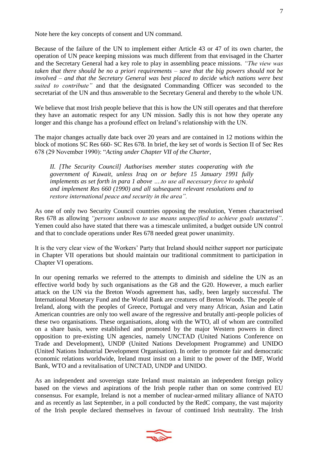Note here the key concepts of consent and UN command.

Because of the failure of the UN to implement either Article 43 or 47 of its own charter, the operation of UN peace keeping missions was much different from that envisaged in the Charter and the Secretary General had a key role to play in assembling peace missions. *"The view was taken that there should be no a priori requirements – save that the big powers should not be involved – and that the Secretary General was best placed to decide which nations were best suited to contribute"* and that the designated Commanding Officer was seconded to the secretariat of the UN and thus answerable to the Secretary General and thereby to the whole UN.

We believe that most Irish people believe that this is how the UN still operates and that therefore they have an automatic respect for any UN mission. Sadly this is not how they operate any longer and this change has a profound effect on Ireland's relationship with the UN.

The major changes actually date back over 20 years and are contained in 12 motions within the block of motions SC Res 660- SC Res 678. In brief, the key set of words is Section II of Sec Res 678 (29 November 1990): "*Acting under Chapter VII of the Charter,*

*II. [The Security Council] Authorises member states cooperating with the government of Kuwait, unless Iraq on or before 15 January 1991 fully implements as set forth in para 1 above ….to use all necessary force to uphold and implement Res 660 (1990) and all subsequent relevant resolutions and to restore international peace and security in the area".*

As one of only two Security Council countries opposing the resolution, Yemen characterised Res 678 as allowing *"persons unknown to use means unspecified to achieve goals unstated"*. Yemen could also have stated that there was a timescale unlimited, a budget outside UN control and that to conclude operations under Res 678 needed great power unanimity.

It is the very clear view of the Workers' Party that Ireland should neither support nor participate in Chapter VII operations but should maintain our traditional commitment to participation in Chapter VI operations.

In our opening remarks we referred to the attempts to diminish and sideline the UN as an effective world body by such organisations as the G8 and the G20. However, a much earlier attack on the UN via the Breton Woods agreement has, sadly, been largely successful. The International Monetary Fund and the World Bank are creatures of Breton Woods. The people of Ireland, along with the peoples of Greece, Portugal and very many African, Asian and Latin American countries are only too well aware of the regressive and brutally anti-people policies of these two organisations. These organisations, along with the WTO, all of whom are controlled on a share basis, were established and promoted by the major Western powers in direct opposition to pre-existing UN agencies, namely UNCTAD (United Nations Conference on Trade and Development), UNDP (United Nations Development Programme) and UNIDO (United Nations Industrial Development Organisation). In order to promote fair and democratic economic relations worldwide, Ireland must insist on a limit to the power of the IMF, World Bank, WTO and a revitalisation of UNCTAD, UNDP and UNIDO.

As an independent and sovereign state Ireland must maintain an independent foreign policy based on the views and aspirations of the Irish people rather than on some contrived EU consensus. For example, Ireland is not a member of nuclear-armed military alliance of NATO and as recently as last September, in a poll conducted by the RedC company, the vast majority of the Irish people declared themselves in favour of continued Irish neutrality. The Irish

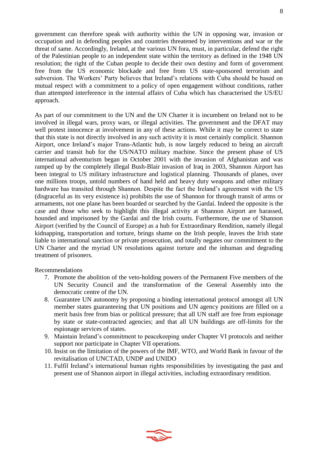government can therefore speak with authority within the UN in opposing war, invasion or occupation and in defending peoples and countries threatened by interventions and war or the threat of same. Accordingly, Ireland, at the various UN fora, must, in particular, defend the right of the Palestinian people to an independent state within the territory as defined in the 1948 UN resolution; the right of the Cuban people to decide their own destiny and form of government free from the US economic blockade and free from US state-sponsored terrorism and subversion. The Workers' Party believes that Ireland's relations with Cuba should be based on mutual respect with a commitment to a policy of open engagement without conditions, rather than attempted interference in the internal affairs of Cuba which has characterised the US/EU approach.

As part of our commitment to the UN and the UN Charter it is incumbent on Ireland not to be involved in illegal wars, proxy wars, or illegal activities. The government and the DFAT may well protest innocence at involvement in any of these actions. While it may be correct to state that this state is not directly involved in any such activity it is most certainly complicit. Shannon Airport, once Ireland's major Trans-Atlantic hub, is now largely reduced to being an aircraft carrier and transit hub for the US/NATO military machine. Since the present phase of US international adventurism began in October 2001 with the invasion of Afghanistan and was ramped up by the completely illegal Bush-Blair invasion of Iraq in 2003, Shannon Airport has been integral to US military infrastructure and logistical planning. Thousands of planes, over one millions troops, untold numbers of hand held and heavy duty weapons and other military hardware has transited through Shannon. Despite the fact the Ireland's agreement with the US (disgraceful as its very existence is) prohibits the use of Shannon for through transit of arms or armaments, not one plane has been boarded or searched by the Gardaí. Indeed the opposite is the case and those who seek to highlight this illegal activity at Shannon Airport are harassed, hounded and imprisoned by the Gardaí and the Irish courts. Furthermore, the use of Shannon Airport (verified by the Council of Europe) as a hub for Extraordinary Rendition, namely illegal kidnapping, transportation and torture, brings shame on the Irish people, leaves the Irish state liable to international sanction or private prosecution, and totally negates our commitment to the UN Charter and the myriad UN resolutions against torture and the inhuman and degrading treatment of prisoners.

- 7. Promote the abolition of the veto-holding powers of the Permanent Five members of the UN Security Council and the transformation of the General Assembly into the democratic centre of the UN.
- 8. Guarantee UN autonomy by proposing a binding international protocol amongst all UN member states guaranteeing that UN positions and UN agency positions are filled on a merit basis free from bias or political pressure; that all UN staff are free from espionage by state or state-contracted agencies; and that all UN buildings are off-limits for the espionage services of states.
- 9. Maintain Ireland's commitment to peacekeeping under Chapter VI protocols and neither support nor participate in Chapter VII operations.
- 10. Insist on the limitation of the powers of the IMF, WTO, and World Bank in favour of the revitalisation of UNCTAD, UNDP and UNIDO
- 11. Fulfil Ireland's international human rights responsibilities by investigating the past and present use of Shannon airport in illegal activities, including extraordinary rendition.

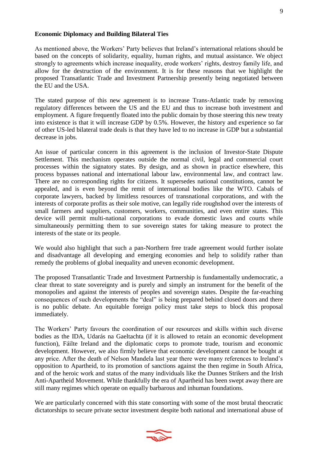As mentioned above, the Workers' Party believes that Ireland's international relations should be based on the concepts of solidarity, equality, human rights, and mutual assistance. We object strongly to agreements which increase inequality, erode workers' rights, destroy family life, and allow for the destruction of the environment. It is for these reasons that we highlight the proposed Transatlantic Trade and Investment Partnership presently being negotiated between the EU and the USA.

The stated purpose of this new agreement is to increase Trans-Atlantic trade by removing regulatory differences between the US and the EU and thus to increase both investment and employment. A figure frequently floated into the public domain by those steering this new treaty into existence is that it will increase GDP by 0.5%. However, the history and experience so far of other US-led bilateral trade deals is that they have led to no increase in GDP but a substantial decrease in jobs.

An issue of particular concern in this agreement is the inclusion of Investor-State Dispute Settlement. This mechanism operates outside the normal civil, legal and commercial court processes within the signatory states. By design, and as shown in practice elsewhere, this process bypasses national and international labour law, environmental law, and contract law. There are no corresponding rights for citizens. It supersedes national constitutions, cannot be appealed, and is even beyond the remit of international bodies like the WTO. Cabals of corporate lawyers, backed by limitless resources of transnational corporations, and with the interests of corporate profits as their sole motive, can legally ride roughshod over the interests of small farmers and suppliers, customers, workers, communities, and even entire states. This device will permit multi-national corporations to evade domestic laws and courts while simultaneously permitting them to sue sovereign states for taking measure to protect the interests of the state or its people.

We would also highlight that such a pan-Northern free trade agreement would further isolate and disadvantage all developing and emerging economies and help to solidify rather than remedy the problems of global inequality and uneven economic development.

The proposed Transatlantic Trade and Investment Partnership is fundamentally undemocratic, a clear threat to state sovereignty and is purely and simply an instrument for the benefit of the monopolies and against the interests of peoples and sovereign states. Despite the far-reaching consequences of such developments the "deal" is being prepared behind closed doors and there is no public debate. An equitable foreign policy must take steps to block this proposal immediately.

The Workers' Party favours the coordination of our resources and skills within such diverse bodies as the IDA, Udarás na Gaeltachta (if it is allowed to retain an economic development function), Fáilte Ireland and the diplomatic corps to promote trade, tourism and economic development. However, we also firmly believe that economic development cannot be bought at any price. After the death of Nelson Mandela last year there were many references to Ireland's opposition to Apartheid, to its promotion of sanctions against the then regime in South Africa, and of the heroic work and status of the many individuals like the Dunnes Strikers and the Irish Anti-Apartheid Movement. While thankfully the era of Apartheid has been swept away there are still many regimes which operate on equally barbarous and inhuman foundations.

We are particularly concerned with this state consorting with some of the most brutal theocratic dictatorships to secure private sector investment despite both national and international abuse of

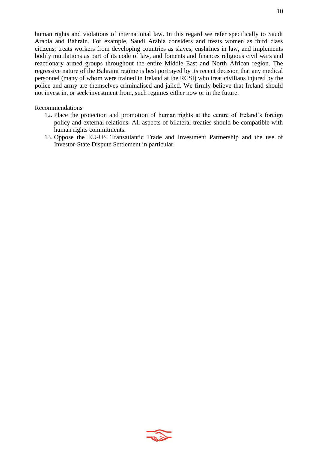human rights and violations of international law. In this regard we refer specifically to Saudi Arabia and Bahrain. For example, Saudi Arabia considers and treats women as third class citizens; treats workers from developing countries as slaves; enshrines in law, and implements bodily mutilations as part of its code of law, and foments and finances religious civil wars and reactionary armed groups throughout the entire Middle East and North African region. The regressive nature of the Bahraini regime is best portrayed by its recent decision that any medical personnel (many of whom were trained in Ireland at the RCSI) who treat civilians injured by the police and army are themselves criminalised and jailed. We firmly believe that Ireland should not invest in, or seek investment from, such regimes either now or in the future.

- 12. Place the protection and promotion of human rights at the centre of Ireland's foreign policy and external relations. All aspects of bilateral treaties should be compatible with human rights commitments.
- 13. Oppose the EU-US Transatlantic Trade and Investment Partnership and the use of Investor-State Dispute Settlement in particular.

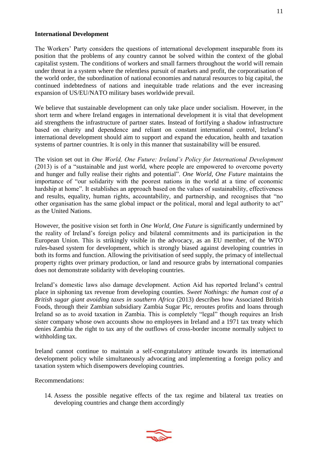# **International Development**

The Workers' Party considers the questions of international development inseparable from its position that the problems of any country cannot be solved within the context of the global capitalist system. The conditions of workers and small farmers throughout the world will remain under threat in a system where the relentless pursuit of markets and profit, the corporatisation of the world order, the subordination of national economies and natural resources to big capital, the continued indebtedness of nations and inequitable trade relations and the ever increasing expansion of US/EU/NATO military bases worldwide prevail.

We believe that sustainable development can only take place under socialism. However, in the short term and where Ireland engages in international development it is vital that development aid strengthens the infrastructure of partner states. Instead of fortifying a shadow infrastructure based on charity and dependence and reliant on constant international control, Ireland's international development should aim to support and expand the education, health and taxation systems of partner countries. It is only in this manner that sustainability will be ensured.

The vision set out in *One World, One Future: Ireland's Policy for International Development* (2013) is of a "sustainable and just world, where people are empowered to overcome poverty and hunger and fully realise their rights and potential". *One World, One Future* maintains the importance of "our solidarity with the poorest nations in the world at a time of economic hardship at home". It establishes an approach based on the values of sustainability, effectiveness and results, equality, human rights, accountability, and partnership, and recognises that "no other organisation has the same global impact or the political, moral and legal authority to act" as the United Nations.

However, the positive vision set forth in *One World, One Future* is significantly undermined by the reality of Ireland's foreign policy and bilateral commitments and its participation in the European Union. This is strikingly visible in the advocacy, as an EU member, of the WTO rules-based system for development, which is strongly biased against developing countries in both its forms and function. Allowing the privitisation of seed supply, the primacy of intellectual property rights over primary production, or land and resource grabs by international companies does not demonstrate solidarity with developing countries.

Ireland's domestic laws also damage development. Action Aid has reported Ireland's central place in siphoning tax revenue from developing counties. *Sweet Nothings: the human cost of a British sugar giant avoiding taxes in southern Africa* (2013) describes how Associated British Foods, through their Zambian subsidiary Zambia Sugar Plc, reroutes profits and loans through Ireland so as to avoid taxation in Zambia. This is completely "legal" though requires an Irish sister company whose own accounts show no employees in Ireland and a 1971 tax treaty which denies Zambia the right to tax any of the outflows of cross-border income normally subject to withholding tax.

Ireland cannot continue to maintain a self-congratulatory attitude towards its international development policy while simultaneously advocating and implementing a foreign policy and taxation system which disempowers developing countries.

Recommendations:

14. Assess the possible negative effects of the tax regime and bilateral tax treaties on developing countries and change them accordingly

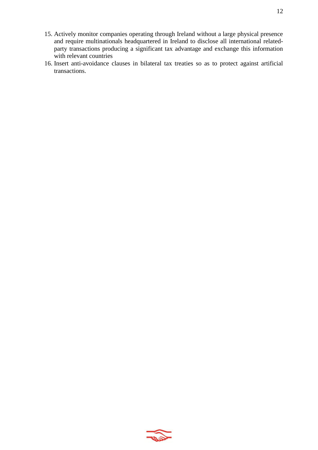- 15. Actively monitor companies operating through Ireland without a large physical presence and require multinationals headquartered in Ireland to disclose all international relatedparty transactions producing a significant tax advantage and exchange this information with relevant countries
- 16. Insert anti-avoidance clauses in bilateral tax treaties so as to protect against artificial transactions.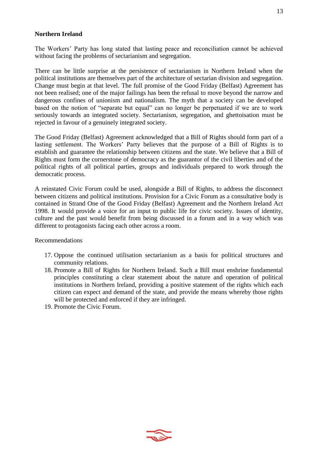# **Northern Ireland**

The Workers' Party has long stated that lasting peace and reconciliation cannot be achieved without facing the problems of sectarianism and segregation.

There can be little surprise at the persistence of sectarianism in Northern Ireland when the political institutions are themselves part of the architecture of sectarian division and segregation. Change must begin at that level. The full promise of the Good Friday (Belfast) Agreement has not been realised; one of the major failings has been the refusal to move beyond the narrow and dangerous confines of unionism and nationalism. The myth that a society can be developed based on the notion of "separate but equal" can no longer be perpetuated if we are to work seriously towards an integrated society. Sectarianism, segregation, and ghettoisation must be rejected in favour of a genuinely integrated society.

The Good Friday (Belfast) Agreement acknowledged that a Bill of Rights should form part of a lasting settlement. The Workers' Party believes that the purpose of a Bill of Rights is to establish and guarantee the relationship between citizens and the state. We believe that a Bill of Rights must form the cornerstone of democracy as the guarantor of the civil liberties and of the political rights of all political parties, groups and individuals prepared to work through the democratic process.

A reinstated Civic Forum could be used, alongside a Bill of Rights, to address the disconnect between citizens and political institutions. Provision for a Civic Forum as a consultative body is contained in Strand One of the Good Friday (Belfast) Agreement and the Northern Ireland Act 1998. It would provide a voice for an input to public life for civic society. Issues of identity, culture and the past would benefit from being discussed in a forum and in a way which was different to protagonists facing each other across a room.

- 17. Oppose the continued utilisation sectarianism as a basis for political structures and community relations.
- 18. Promote a Bill of Rights for Northern Ireland. Such a Bill must enshrine fundamental principles constituting a clear statement about the nature and operation of political institutions in Northern Ireland, providing a positive statement of the rights which each citizen can expect and demand of the state, and provide the means whereby those rights will be protected and enforced if they are infringed.
- 19. Promote the Civic Forum.

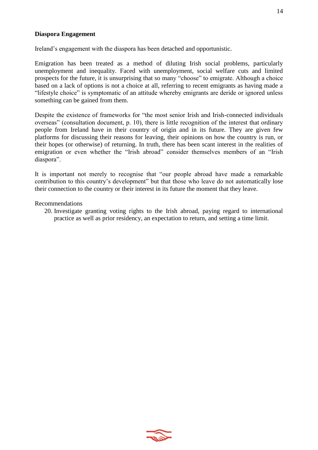# **Diaspora Engagement**

Ireland's engagement with the diaspora has been detached and opportunistic.

Emigration has been treated as a method of diluting Irish social problems, particularly unemployment and inequality. Faced with unemployment, social welfare cuts and limited prospects for the future, it is unsurprising that so many "choose" to emigrate. Although a choice based on a lack of options is not a choice at all, referring to recent emigrants as having made a "lifestyle choice" is symptomatic of an attitude whereby emigrants are deride or ignored unless something can be gained from them.

Despite the existence of frameworks for "the most senior Irish and Irish-connected individuals overseas" (consultation document, p. 10), there is little recognition of the interest that ordinary people from Ireland have in their country of origin and in its future. They are given few platforms for discussing their reasons for leaving, their opinions on how the country is run, or their hopes (or otherwise) of returning. In truth, there has been scant interest in the realities of emigration or even whether the "Irish abroad" consider themselves members of an "Irish diaspora".

It is important not merely to recognise that "our people abroad have made a remarkable contribution to this country's development" but that those who leave do not automatically lose their connection to the country or their interest in its future the moment that they leave.

### Recommendations

20. Investigate granting voting rights to the Irish abroad, paying regard to international practice as well as prior residency, an expectation to return, and setting a time limit.